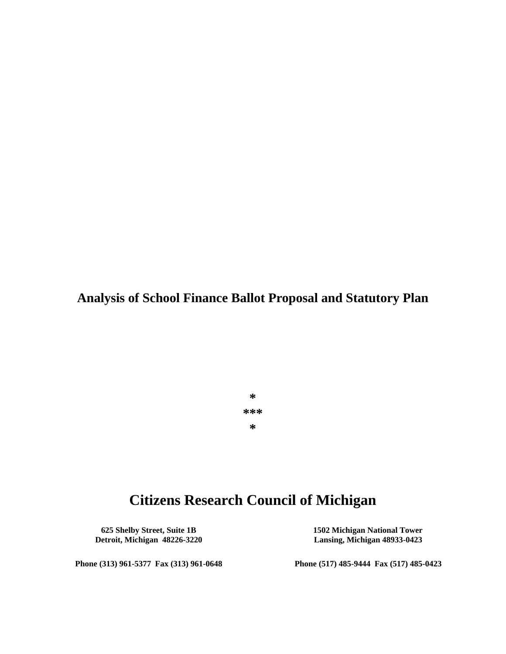**Analysis of School Finance Ballot Proposal and Statutory Plan**

**\* \*\*\* \***

# **Citizens Research Council of Michigan**

**625 Shelby Street, Suite 1B 1502 Michigan National Tower Detroit, Michigan 48226-3220 Lansing, Michigan 48933-0423**

**Phone (313) 961-5377 Fax (313) 961-0648 Phone (517) 485-9444 Fax (517) 485-0423**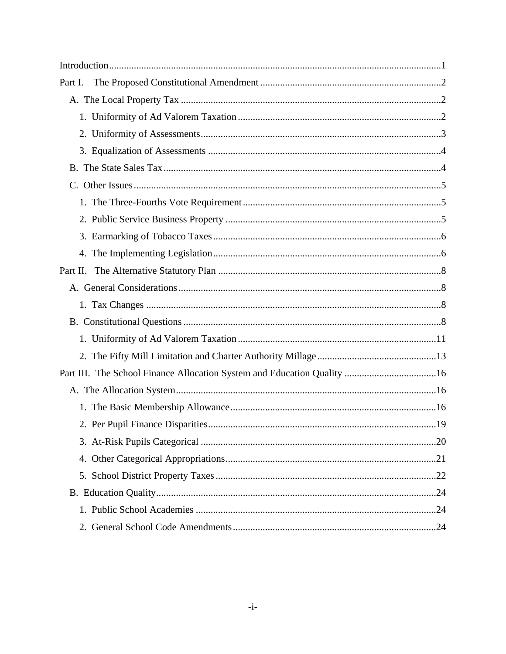| Part I.  |
|----------|
|          |
|          |
|          |
|          |
|          |
|          |
|          |
|          |
|          |
|          |
| Part II. |
|          |
|          |
|          |
|          |
|          |
|          |
|          |
|          |
|          |
|          |
|          |
|          |
|          |
|          |
|          |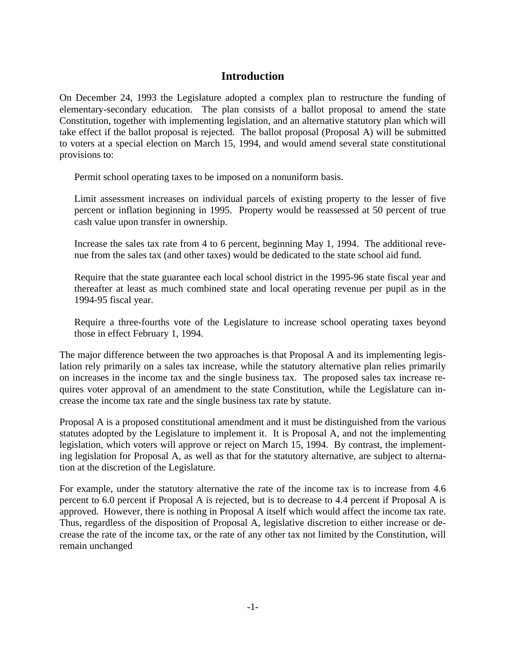# **Introduction**

On December 24, 1993 the Legislature adopted a complex plan to restructure the funding of elementary-secondary education. The plan consists of a ballot proposal to amend the state Constitution, together with implementing legislation, and an alternative statutory plan which will take effect if the ballot proposal is rejected. The ballot proposal (Proposal A) will be submitted to voters at a special election on March 15, 1994, and would amend several state constitutional provisions to:

- Permit school operating taxes to be imposed on a nonuniform basis.
- Limit assessment increases on individual parcels of existing property to the lesser of five percent or inflation beginning in 1995. Property would be reassessed at 50 percent of true cash value upon transfer in ownership.
- Increase the sales tax rate from 4 to 6 percent, beginning May 1, 1994. The additional revenue from the sales tax (and other taxes) would be dedicated to the state school aid fund.
- Require that the state guarantee each local school district in the 1995-96 state fiscal year and thereafter at least as much combined state and local operating revenue per pupil as in the 1994-95 fiscal year.
- Require a three-fourths vote of the Legislature to increase school operating taxes beyond those in effect February 1, 1994.

The major difference between the two approaches is that Proposal A and its implementing legislation rely primarily on a sales tax increase, while the statutory alternative plan relies primarily on increases in the income tax and the single business tax. The proposed sales tax increase requires voter approval of an amendment to the state Constitution, while the Legislature can increase the income tax rate and the single business tax rate by statute.

Proposal A is a proposed constitutional amendment and it must be distinguished from the various statutes adopted by the Legislature to implement it. It is Proposal A, and not the implementing legislation, which voters will approve or reject on March 15, 1994. By contrast, the implementing legislation for Proposal A, as well as that for the statutory alternative, are subject to alternation at the discretion of the Legislature.

For example, under the statutory alternative the rate of the income tax is to increase from 4.6 percent to 6.0 percent if Proposal A is rejected, but is to decrease to 4.4 percent if Proposal A is approved. However, there is nothing in Proposal A itself which would affect the income tax rate. Thus, regardless of the disposition of Proposal A, legislative discretion to either increase or decrease the rate of the income tax, or the rate of any other tax not limited by the Constitution, will remain unchanged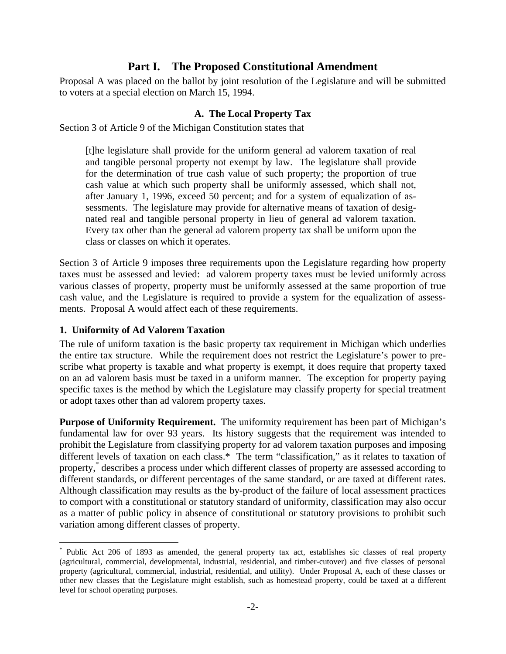# **Part I. The Proposed Constitutional Amendment**

Proposal A was placed on the ballot by joint resolution of the Legislature and will be submitted to voters at a special election on March 15, 1994.

# **A. The Local Property Tax**

Section 3 of Article 9 of the Michigan Constitution states that

[t]he legislature shall provide for the uniform general ad valorem taxation of real and tangible personal property not exempt by law. The legislature shall provide for the determination of true cash value of such property; the proportion of true cash value at which such property shall be uniformly assessed, which shall not, after January 1, 1996, exceed 50 percent; and for a system of equalization of assessments. The legislature may provide for alternative means of taxation of designated real and tangible personal property in lieu of general ad valorem taxation. Every tax other than the general ad valorem property tax shall be uniform upon the class or classes on which it operates.

Section 3 of Article 9 imposes three requirements upon the Legislature regarding how property taxes must be assessed and levied: ad valorem property taxes must be levied uniformly across various classes of property, property must be uniformly assessed at the same proportion of true cash value, and the Legislature is required to provide a system for the equalization of assessments. Proposal A would affect each of these requirements.

# **1. Uniformity of Ad Valorem Taxation**

 $\overline{a}$ 

The rule of uniform taxation is the basic property tax requirement in Michigan which underlies the entire tax structure. While the requirement does not restrict the Legislature's power to prescribe what property is taxable and what property is exempt, it does require that property taxed on an ad valorem basis must be taxed in a uniform manner. The exception for property paying specific taxes is the method by which the Legislature may classify property for special treatment or adopt taxes other than ad valorem property taxes.

**Purpose of Uniformity Requirement.** The uniformity requirement has been part of Michigan's fundamental law for over 93 years. Its history suggests that the requirement was intended to prohibit the Legislature from classifying property for ad valorem taxation purposes and imposing different levels of taxation on each class.\* The term "classification," as it relates to taxation of property,\* describes a process under which different classes of property are assessed according to different standards, or different percentages of the same standard, or are taxed at different rates. Although classification may results as the by-product of the failure of local assessment practices to comport with a constitutional or statutory standard of uniformity, classification may also occur as a matter of public policy in absence of constitutional or statutory provisions to prohibit such variation among different classes of property.

<sup>\*</sup> Public Act 206 of 1893 as amended, the general property tax act, establishes sic classes of real property (agricultural, commercial, developmental, industrial, residential, and timber-cutover) and five classes of personal property (agricultural, commercial, industrial, residential, and utility). Under Proposal A, each of these classes or other new classes that the Legislature might establish, such as homestead property, could be taxed at a different level for school operating purposes.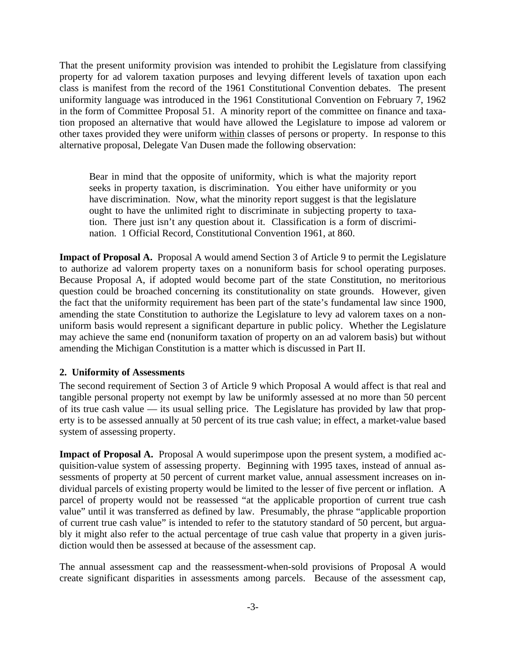That the present uniformity provision was intended to prohibit the Legislature from classifying property for ad valorem taxation purposes and levying different levels of taxation upon each class is manifest from the record of the 1961 Constitutional Convention debates. The present uniformity language was introduced in the 1961 Constitutional Convention on February 7, 1962 in the form of Committee Proposal 51. A minority report of the committee on finance and taxation proposed an alternative that would have allowed the Legislature to impose ad valorem or other taxes provided they were uniform within classes of persons or property. In response to this alternative proposal, Delegate Van Dusen made the following observation:

Bear in mind that the opposite of uniformity, which is what the majority report seeks in property taxation, is discrimination. You either have uniformity or you have discrimination. Now, what the minority report suggest is that the legislature ought to have the unlimited right to discriminate in subjecting property to taxation. There just isn't any question about it. Classification is a form of discrimination. 1 Official Record, Constitutional Convention 1961, at 860.

**Impact of Proposal A.** Proposal A would amend Section 3 of Article 9 to permit the Legislature to authorize ad valorem property taxes on a nonuniform basis for school operating purposes. Because Proposal A, if adopted would become part of the state Constitution, no meritorious question could be broached concerning its constitutionality on state grounds. However, given the fact that the uniformity requirement has been part of the state's fundamental law since 1900, amending the state Constitution to authorize the Legislature to levy ad valorem taxes on a nonuniform basis would represent a significant departure in public policy. Whether the Legislature may achieve the same end (nonuniform taxation of property on an ad valorem basis) but without amending the Michigan Constitution is a matter which is discussed in Part II.

# **2. Uniformity of Assessments**

The second requirement of Section 3 of Article 9 which Proposal A would affect is that real and tangible personal property not exempt by law be uniformly assessed at no more than 50 percent of its true cash value — its usual selling price. The Legislature has provided by law that property is to be assessed annually at 50 percent of its true cash value; in effect, a market-value based system of assessing property.

**Impact of Proposal A.** Proposal A would superimpose upon the present system, a modified acquisition-value system of assessing property. Beginning with 1995 taxes, instead of annual assessments of property at 50 percent of current market value, annual assessment increases on individual parcels of existing property would be limited to the lesser of five percent or inflation. A parcel of property would not be reassessed "at the applicable proportion of current true cash value" until it was transferred as defined by law. Presumably, the phrase "applicable proportion of current true cash value" is intended to refer to the statutory standard of 50 percent, but arguably it might also refer to the actual percentage of true cash value that property in a given jurisdiction would then be assessed at because of the assessment cap.

The annual assessment cap and the reassessment-when-sold provisions of Proposal A would create significant disparities in assessments among parcels. Because of the assessment cap,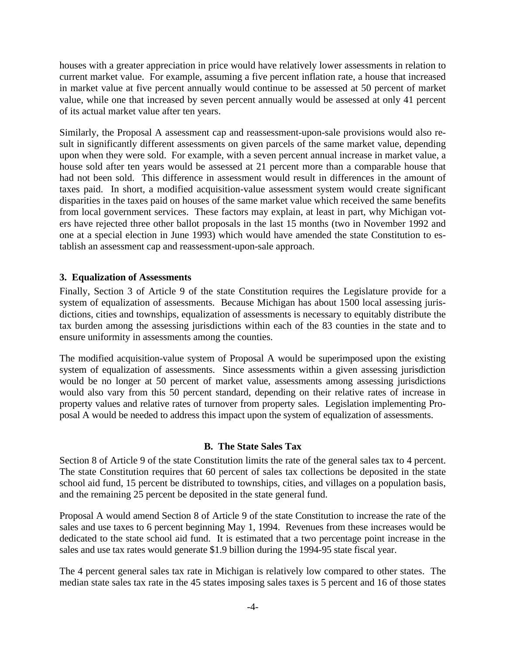houses with a greater appreciation in price would have relatively lower assessments in relation to current market value. For example, assuming a five percent inflation rate, a house that increased in market value at five percent annually would continue to be assessed at 50 percent of market value, while one that increased by seven percent annually would be assessed at only 41 percent of its actual market value after ten years.

Similarly, the Proposal A assessment cap and reassessment-upon-sale provisions would also result in significantly different assessments on given parcels of the same market value, depending upon when they were sold. For example, with a seven percent annual increase in market value, a house sold after ten years would be assessed at 21 percent more than a comparable house that had not been sold. This difference in assessment would result in differences in the amount of taxes paid. In short, a modified acquisition-value assessment system would create significant disparities in the taxes paid on houses of the same market value which received the same benefits from local government services. These factors may explain, at least in part, why Michigan voters have rejected three other ballot proposals in the last 15 months (two in November 1992 and one at a special election in June 1993) which would have amended the state Constitution to establish an assessment cap and reassessment-upon-sale approach.

### **3. Equalization of Assessments**

Finally, Section 3 of Article 9 of the state Constitution requires the Legislature provide for a system of equalization of assessments. Because Michigan has about 1500 local assessing jurisdictions, cities and townships, equalization of assessments is necessary to equitably distribute the tax burden among the assessing jurisdictions within each of the 83 counties in the state and to ensure uniformity in assessments among the counties.

The modified acquisition-value system of Proposal A would be superimposed upon the existing system of equalization of assessments. Since assessments within a given assessing jurisdiction would be no longer at 50 percent of market value, assessments among assessing jurisdictions would also vary from this 50 percent standard, depending on their relative rates of increase in property values and relative rates of turnover from property sales. Legislation implementing Proposal A would be needed to address this impact upon the system of equalization of assessments.

### **B. The State Sales Tax**

Section 8 of Article 9 of the state Constitution limits the rate of the general sales tax to 4 percent. The state Constitution requires that 60 percent of sales tax collections be deposited in the state school aid fund, 15 percent be distributed to townships, cities, and villages on a population basis, and the remaining 25 percent be deposited in the state general fund.

Proposal A would amend Section 8 of Article 9 of the state Constitution to increase the rate of the sales and use taxes to 6 percent beginning May 1, 1994. Revenues from these increases would be dedicated to the state school aid fund. It is estimated that a two percentage point increase in the sales and use tax rates would generate \$1.9 billion during the 1994-95 state fiscal year.

The 4 percent general sales tax rate in Michigan is relatively low compared to other states. The median state sales tax rate in the 45 states imposing sales taxes is 5 percent and 16 of those states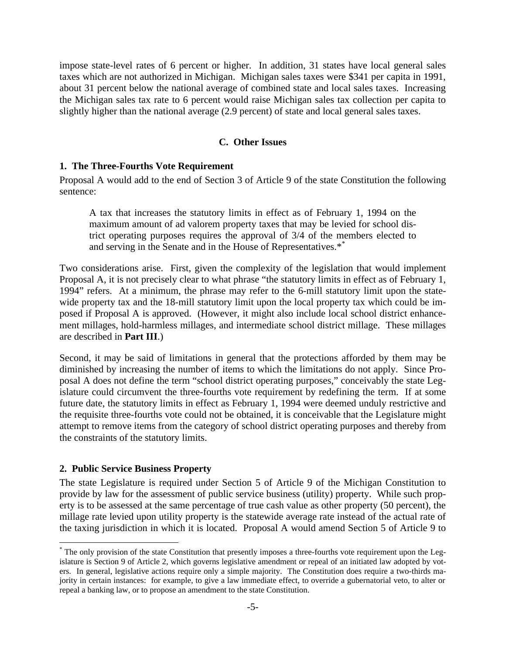impose state-level rates of 6 percent or higher. In addition, 31 states have local general sales taxes which are not authorized in Michigan. Michigan sales taxes were \$341 per capita in 1991, about 31 percent below the national average of combined state and local sales taxes. Increasing the Michigan sales tax rate to 6 percent would raise Michigan sales tax collection per capita to slightly higher than the national average (2.9 percent) of state and local general sales taxes.

# **C. Other Issues**

# **1. The Three-Fourths Vote Requirement**

Proposal A would add to the end of Section 3 of Article 9 of the state Constitution the following sentence:

A tax that increases the statutory limits in effect as of February 1, 1994 on the maximum amount of ad valorem property taxes that may be levied for school district operating purposes requires the approval of 3/4 of the members elected to and serving in the Senate and in the House of Representatives.<sup>\*\*</sup>

Two considerations arise. First, given the complexity of the legislation that would implement Proposal A, it is not precisely clear to what phrase "the statutory limits in effect as of February 1, 1994" refers. At a minimum, the phrase may refer to the 6-mill statutory limit upon the statewide property tax and the 18-mill statutory limit upon the local property tax which could be imposed if Proposal A is approved. (However, it might also include local school district enhancement millages, hold-harmless millages, and intermediate school district millage. These millages are described in **Part III**.)

Second, it may be said of limitations in general that the protections afforded by them may be diminished by increasing the number of items to which the limitations do not apply. Since Proposal A does not define the term "school district operating purposes," conceivably the state Legislature could circumvent the three-fourths vote requirement by redefining the term. If at some future date, the statutory limits in effect as February 1, 1994 were deemed unduly restrictive and the requisite three-fourths vote could not be obtained, it is conceivable that the Legislature might attempt to remove items from the category of school district operating purposes and thereby from the constraints of the statutory limits.

### **2. Public Service Business Property**

 $\overline{a}$ 

The state Legislature is required under Section 5 of Article 9 of the Michigan Constitution to provide by law for the assessment of public service business (utility) property. While such property is to be assessed at the same percentage of true cash value as other property (50 percent), the millage rate levied upon utility property is the statewide average rate instead of the actual rate of the taxing jurisdiction in which it is located. Proposal A would amend Section 5 of Article 9 to

<sup>\*</sup> The only provision of the state Constitution that presently imposes a three-fourths vote requirement upon the Legislature is Section 9 of Article 2, which governs legislative amendment or repeal of an initiated law adopted by voters. In general, legislative actions require only a simple majority. The Constitution does require a two-thirds majority in certain instances: for example, to give a law immediate effect, to override a gubernatorial veto, to alter or repeal a banking law, or to propose an amendment to the state Constitution.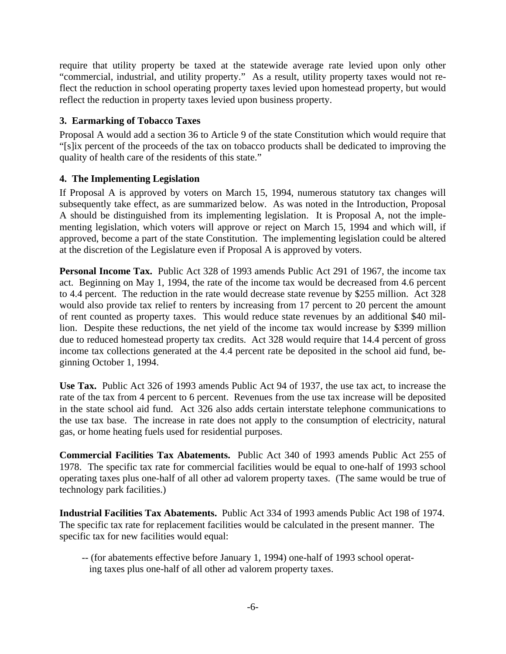require that utility property be taxed at the statewide average rate levied upon only other "commercial, industrial, and utility property." As a result, utility property taxes would not reflect the reduction in school operating property taxes levied upon homestead property, but would reflect the reduction in property taxes levied upon business property.

# **3. Earmarking of Tobacco Taxes**

Proposal A would add a section 36 to Article 9 of the state Constitution which would require that "[s]ix percent of the proceeds of the tax on tobacco products shall be dedicated to improving the quality of health care of the residents of this state."

# **4. The Implementing Legislation**

If Proposal A is approved by voters on March 15, 1994, numerous statutory tax changes will subsequently take effect, as are summarized below. As was noted in the Introduction, Proposal A should be distinguished from its implementing legislation. It is Proposal A, not the implementing legislation, which voters will approve or reject on March 15, 1994 and which will, if approved, become a part of the state Constitution. The implementing legislation could be altered at the discretion of the Legislature even if Proposal A is approved by voters.

**Personal Income Tax.** Public Act 328 of 1993 amends Public Act 291 of 1967, the income tax act. Beginning on May 1, 1994, the rate of the income tax would be decreased from 4.6 percent to 4.4 percent. The reduction in the rate would decrease state revenue by \$255 million. Act 328 would also provide tax relief to renters by increasing from 17 percent to 20 percent the amount of rent counted as property taxes. This would reduce state revenues by an additional \$40 million. Despite these reductions, the net yield of the income tax would increase by \$399 million due to reduced homestead property tax credits. Act 328 would require that 14.4 percent of gross income tax collections generated at the 4.4 percent rate be deposited in the school aid fund, beginning October 1, 1994.

**Use Tax.** Public Act 326 of 1993 amends Public Act 94 of 1937, the use tax act, to increase the rate of the tax from 4 percent to 6 percent. Revenues from the use tax increase will be deposited in the state school aid fund. Act 326 also adds certain interstate telephone communications to the use tax base. The increase in rate does not apply to the consumption of electricity, natural gas, or home heating fuels used for residential purposes.

**Commercial Facilities Tax Abatements.** Public Act 340 of 1993 amends Public Act 255 of 1978. The specific tax rate for commercial facilities would be equal to one-half of 1993 school operating taxes plus one-half of all other ad valorem property taxes. (The same would be true of technology park facilities.)

**Industrial Facilities Tax Abatements.** Public Act 334 of 1993 amends Public Act 198 of 1974. The specific tax rate for replacement facilities would be calculated in the present manner. The specific tax for new facilities would equal:

-- (for abatements effective before January 1, 1994) one-half of 1993 school operating taxes plus one-half of all other ad valorem property taxes.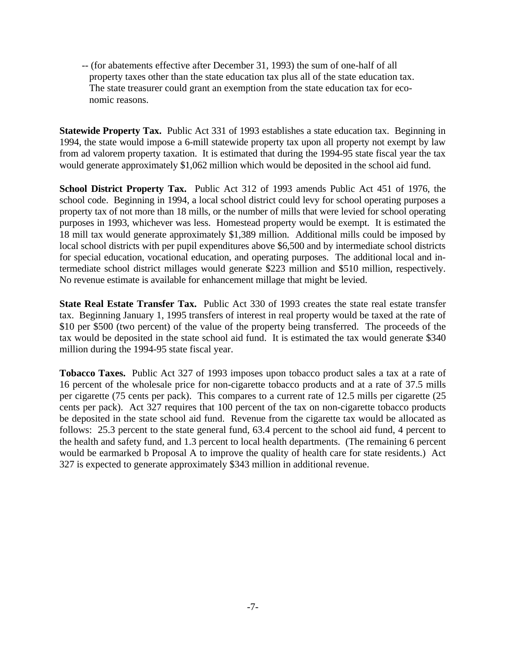-- (for abatements effective after December 31, 1993) the sum of one-half of all property taxes other than the state education tax plus all of the state education tax. The state treasurer could grant an exemption from the state education tax for economic reasons.

**Statewide Property Tax.** Public Act 331 of 1993 establishes a state education tax. Beginning in 1994, the state would impose a 6-mill statewide property tax upon all property not exempt by law from ad valorem property taxation. It is estimated that during the 1994-95 state fiscal year the tax would generate approximately \$1,062 million which would be deposited in the school aid fund.

**School District Property Tax.** Public Act 312 of 1993 amends Public Act 451 of 1976, the school code. Beginning in 1994, a local school district could levy for school operating purposes a property tax of not more than 18 mills, or the number of mills that were levied for school operating purposes in 1993, whichever was less. Homestead property would be exempt. It is estimated the 18 mill tax would generate approximately \$1,389 million. Additional mills could be imposed by local school districts with per pupil expenditures above \$6,500 and by intermediate school districts for special education, vocational education, and operating purposes. The additional local and intermediate school district millages would generate \$223 million and \$510 million, respectively. No revenue estimate is available for enhancement millage that might be levied.

**State Real Estate Transfer Tax.** Public Act 330 of 1993 creates the state real estate transfer tax. Beginning January 1, 1995 transfers of interest in real property would be taxed at the rate of \$10 per \$500 (two percent) of the value of the property being transferred. The proceeds of the tax would be deposited in the state school aid fund. It is estimated the tax would generate \$340 million during the 1994-95 state fiscal year.

**Tobacco Taxes.** Public Act 327 of 1993 imposes upon tobacco product sales a tax at a rate of 16 percent of the wholesale price for non-cigarette tobacco products and at a rate of 37.5 mills per cigarette (75 cents per pack). This compares to a current rate of 12.5 mills per cigarette (25 cents per pack). Act 327 requires that 100 percent of the tax on non-cigarette tobacco products be deposited in the state school aid fund. Revenue from the cigarette tax would be allocated as follows: 25.3 percent to the state general fund, 63.4 percent to the school aid fund, 4 percent to the health and safety fund, and 1.3 percent to local health departments. (The remaining 6 percent would be earmarked b Proposal A to improve the quality of health care for state residents.) Act 327 is expected to generate approximately \$343 million in additional revenue.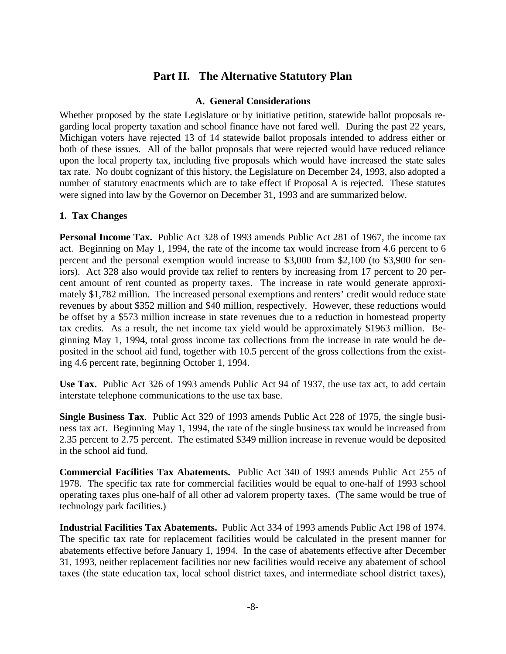# **Part II. The Alternative Statutory Plan**

### **A. General Considerations**

Whether proposed by the state Legislature or by initiative petition, statewide ballot proposals regarding local property taxation and school finance have not fared well. During the past 22 years, Michigan voters have rejected 13 of 14 statewide ballot proposals intended to address either or both of these issues. All of the ballot proposals that were rejected would have reduced reliance upon the local property tax, including five proposals which would have increased the state sales tax rate. No doubt cognizant of this history, the Legislature on December 24, 1993, also adopted a number of statutory enactments which are to take effect if Proposal A is rejected. These statutes were signed into law by the Governor on December 31, 1993 and are summarized below.

# **1. Tax Changes**

**Personal Income Tax.** Public Act 328 of 1993 amends Public Act 281 of 1967, the income tax act. Beginning on May 1, 1994, the rate of the income tax would increase from 4.6 percent to 6 percent and the personal exemption would increase to \$3,000 from \$2,100 (to \$3,900 for seniors). Act 328 also would provide tax relief to renters by increasing from 17 percent to 20 percent amount of rent counted as property taxes. The increase in rate would generate approximately \$1,782 million. The increased personal exemptions and renters' credit would reduce state revenues by about \$352 million and \$40 million, respectively. However, these reductions would be offset by a \$573 million increase in state revenues due to a reduction in homestead property tax credits. As a result, the net income tax yield would be approximately \$1963 million. Beginning May 1, 1994, total gross income tax collections from the increase in rate would be deposited in the school aid fund, together with 10.5 percent of the gross collections from the existing 4.6 percent rate, beginning October 1, 1994.

**Use Tax.** Public Act 326 of 1993 amends Public Act 94 of 1937, the use tax act, to add certain interstate telephone communications to the use tax base.

**Single Business Tax**. Public Act 329 of 1993 amends Public Act 228 of 1975, the single business tax act. Beginning May 1, 1994, the rate of the single business tax would be increased from 2.35 percent to 2.75 percent. The estimated \$349 million increase in revenue would be deposited in the school aid fund.

**Commercial Facilities Tax Abatements.** Public Act 340 of 1993 amends Public Act 255 of 1978. The specific tax rate for commercial facilities would be equal to one-half of 1993 school operating taxes plus one-half of all other ad valorem property taxes. (The same would be true of technology park facilities.)

**Industrial Facilities Tax Abatements.** Public Act 334 of 1993 amends Public Act 198 of 1974. The specific tax rate for replacement facilities would be calculated in the present manner for abatements effective before January 1, 1994. In the case of abatements effective after December 31, 1993, neither replacement facilities nor new facilities would receive any abatement of school taxes (the state education tax, local school district taxes, and intermediate school district taxes),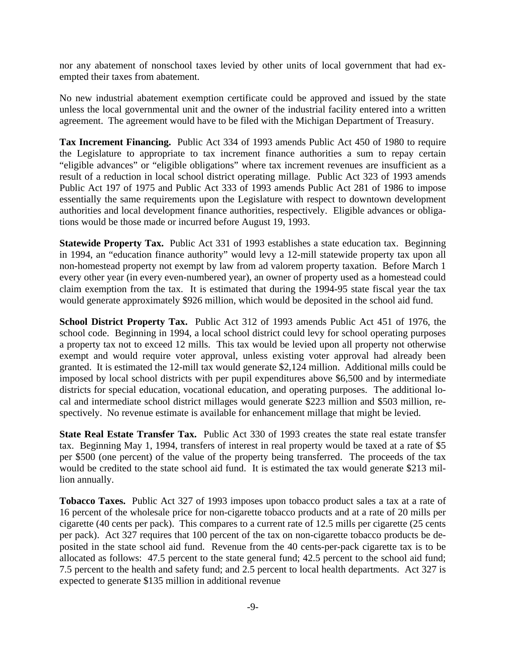nor any abatement of nonschool taxes levied by other units of local government that had exempted their taxes from abatement.

No new industrial abatement exemption certificate could be approved and issued by the state unless the local governmental unit and the owner of the industrial facility entered into a written agreement. The agreement would have to be filed with the Michigan Department of Treasury.

**Tax Increment Financing.** Public Act 334 of 1993 amends Public Act 450 of 1980 to require the Legislature to appropriate to tax increment finance authorities a sum to repay certain "eligible advances" or "eligible obligations" where tax increment revenues are insufficient as a result of a reduction in local school district operating millage. Public Act 323 of 1993 amends Public Act 197 of 1975 and Public Act 333 of 1993 amends Public Act 281 of 1986 to impose essentially the same requirements upon the Legislature with respect to downtown development authorities and local development finance authorities, respectively. Eligible advances or obligations would be those made or incurred before August 19, 1993.

**Statewide Property Tax.** Public Act 331 of 1993 establishes a state education tax. Beginning in 1994, an "education finance authority" would levy a 12-mill statewide property tax upon all non-homestead property not exempt by law from ad valorem property taxation. Before March 1 every other year (in every even-numbered year), an owner of property used as a homestead could claim exemption from the tax. It is estimated that during the 1994-95 state fiscal year the tax would generate approximately \$926 million, which would be deposited in the school aid fund.

**School District Property Tax.** Public Act 312 of 1993 amends Public Act 451 of 1976, the school code. Beginning in 1994, a local school district could levy for school operating purposes a property tax not to exceed 12 mills. This tax would be levied upon all property not otherwise exempt and would require voter approval, unless existing voter approval had already been granted. It is estimated the 12-mill tax would generate \$2,124 million. Additional mills could be imposed by local school districts with per pupil expenditures above \$6,500 and by intermediate districts for special education, vocational education, and operating purposes. The additional local and intermediate school district millages would generate \$223 million and \$503 million, respectively. No revenue estimate is available for enhancement millage that might be levied.

**State Real Estate Transfer Tax.** Public Act 330 of 1993 creates the state real estate transfer tax. Beginning May 1, 1994, transfers of interest in real property would be taxed at a rate of \$5 per \$500 (one percent) of the value of the property being transferred. The proceeds of the tax would be credited to the state school aid fund. It is estimated the tax would generate \$213 million annually.

**Tobacco Taxes.** Public Act 327 of 1993 imposes upon tobacco product sales a tax at a rate of 16 percent of the wholesale price for non-cigarette tobacco products and at a rate of 20 mills per cigarette (40 cents per pack). This compares to a current rate of 12.5 mills per cigarette (25 cents per pack). Act 327 requires that 100 percent of the tax on non-cigarette tobacco products be deposited in the state school aid fund. Revenue from the 40 cents-per-pack cigarette tax is to be allocated as follows: 47.5 percent to the state general fund; 42.5 percent to the school aid fund; 7.5 percent to the health and safety fund; and 2.5 percent to local health departments. Act 327 is expected to generate \$135 million in additional revenue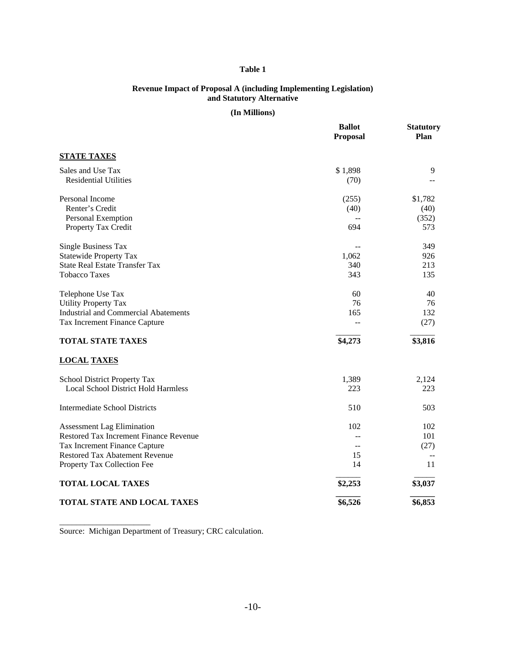#### **Table 1**

#### **Revenue Impact of Proposal A (including Implementing Legislation) and Statutory Alternative**

#### **(In Millions)**

|                                             | <b>Ballot</b><br><b>Proposal</b> | <b>Statutory</b><br>Plan |
|---------------------------------------------|----------------------------------|--------------------------|
| <b>STATE TAXES</b>                          |                                  |                          |
| Sales and Use Tax                           | \$1,898                          | 9                        |
| <b>Residential Utilities</b>                | (70)                             | $\overline{\phantom{m}}$ |
| Personal Income                             | (255)                            | \$1,782                  |
| Renter's Credit                             | (40)                             | (40)                     |
| Personal Exemption                          |                                  | (352)                    |
| Property Tax Credit                         | 694                              | 573                      |
| <b>Single Business Tax</b>                  |                                  | 349                      |
| <b>Statewide Property Tax</b>               | 1,062                            | 926                      |
| <b>State Real Estate Transfer Tax</b>       | 340                              | 213                      |
| <b>Tobacco Taxes</b>                        | 343                              | 135                      |
| Telephone Use Tax                           | 60                               | 40                       |
| <b>Utility Property Tax</b>                 | 76                               | 76                       |
| <b>Industrial and Commercial Abatements</b> | 165                              | 132                      |
| Tax Increment Finance Capture               | --                               | (27)                     |
| <b>TOTAL STATE TAXES</b>                    | \$4,273                          | \$3,816                  |
| <b>LOCAL TAXES</b>                          |                                  |                          |
| School District Property Tax                | 1,389                            | 2,124                    |
| <b>Local School District Hold Harmless</b>  | 223                              | 223                      |
| <b>Intermediate School Districts</b>        | 510                              | 503                      |
| <b>Assessment Lag Elimination</b>           | 102                              | 102                      |
| Restored Tax Increment Finance Revenue      |                                  | 101                      |
| Tax Increment Finance Capture               | $-$                              | (27)                     |
| Restored Tax Abatement Revenue              | 15                               |                          |
| Property Tax Collection Fee                 | 14                               | 11                       |
| <b>TOTAL LOCAL TAXES</b>                    | \$2,253                          | \$3,037                  |
| TOTAL STATE AND LOCAL TAXES                 | \$6,526                          | \$6,853                  |

Source: Michigan Department of Treasury; CRC calculation.

\_\_\_\_\_\_\_\_\_\_\_\_\_\_\_\_\_\_\_\_\_\_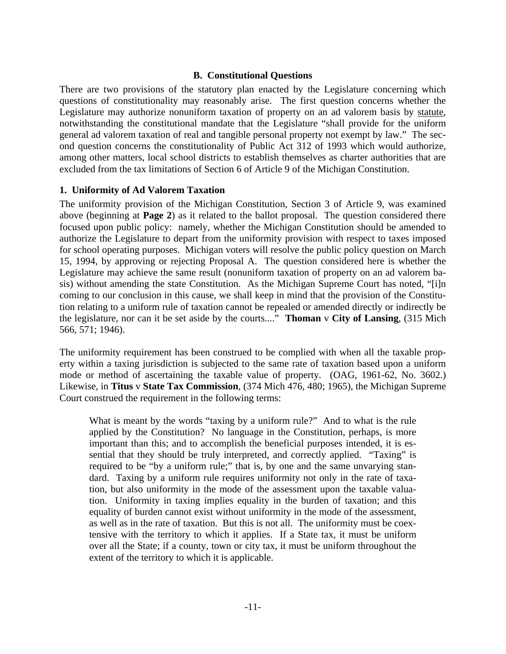# **B. Constitutional Questions**

There are two provisions of the statutory plan enacted by the Legislature concerning which questions of constitutionality may reasonably arise. The first question concerns whether the Legislature may authorize nonuniform taxation of property on an ad valorem basis by statute, notwithstanding the constitutional mandate that the Legislature "shall provide for the uniform general ad valorem taxation of real and tangible personal property not exempt by law." The second question concerns the constitutionality of Public Act 312 of 1993 which would authorize, among other matters, local school districts to establish themselves as charter authorities that are excluded from the tax limitations of Section 6 of Article 9 of the Michigan Constitution.

# **1. Uniformity of Ad Valorem Taxation**

The uniformity provision of the Michigan Constitution, Section 3 of Article 9, was examined above (beginning at **Page 2**) as it related to the ballot proposal. The question considered there focused upon public policy: namely, whether the Michigan Constitution should be amended to authorize the Legislature to depart from the uniformity provision with respect to taxes imposed for school operating purposes. Michigan voters will resolve the public policy question on March 15, 1994, by approving or rejecting Proposal A. The question considered here is whether the Legislature may achieve the same result (nonuniform taxation of property on an ad valorem basis) without amending the state Constitution. As the Michigan Supreme Court has noted, "[i]n coming to our conclusion in this cause, we shall keep in mind that the provision of the Constitution relating to a uniform rule of taxation cannot be repealed or amended directly or indirectly be the legislature, nor can it be set aside by the courts...." **Thoman** v **City of Lansing**, (315 Mich 566, 571; 1946).

The uniformity requirement has been construed to be complied with when all the taxable property within a taxing jurisdiction is subjected to the same rate of taxation based upon a uniform mode or method of ascertaining the taxable value of property. (OAG, 1961-62, No. 3602.) Likewise, in **Titus** v **State Tax Commission**, (374 Mich 476, 480; 1965), the Michigan Supreme Court construed the requirement in the following terms:

What is meant by the words "taxing by a uniform rule?" And to what is the rule applied by the Constitution? No language in the Constitution, perhaps, is more important than this; and to accomplish the beneficial purposes intended, it is essential that they should be truly interpreted, and correctly applied. "Taxing" is required to be "by a uniform rule;" that is, by one and the same unvarying standard. Taxing by a uniform rule requires uniformity not only in the rate of taxation, but also uniformity in the mode of the assessment upon the taxable valuation. Uniformity in taxing implies equality in the burden of taxation; and this equality of burden cannot exist without uniformity in the mode of the assessment, as well as in the rate of taxation. But this is not all. The uniformity must be coextensive with the territory to which it applies. If a State tax, it must be uniform over all the State; if a county, town or city tax, it must be uniform throughout the extent of the territory to which it is applicable.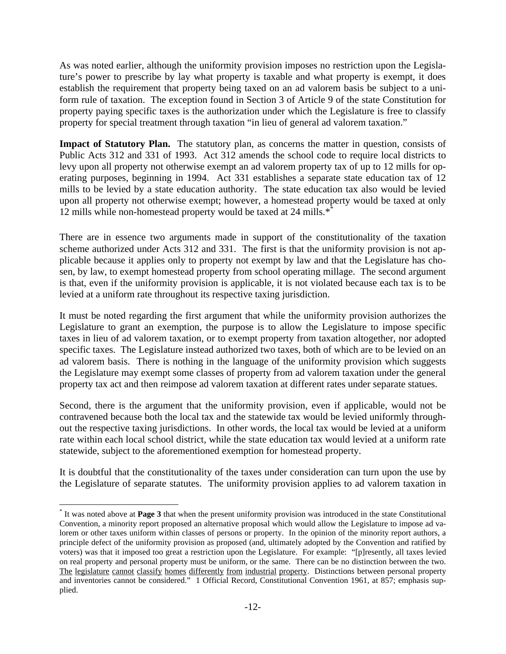As was noted earlier, although the uniformity provision imposes no restriction upon the Legislature's power to prescribe by lay what property is taxable and what property is exempt, it does establish the requirement that property being taxed on an ad valorem basis be subject to a uniform rule of taxation. The exception found in Section 3 of Article 9 of the state Constitution for property paying specific taxes is the authorization under which the Legislature is free to classify property for special treatment through taxation "in lieu of general ad valorem taxation."

Impact of Statutory Plan. The statutory plan, as concerns the matter in question, consists of Public Acts 312 and 331 of 1993. Act 312 amends the school code to require local districts to levy upon all property not otherwise exempt an ad valorem property tax of up to 12 mills for operating purposes, beginning in 1994. Act 331 establishes a separate state education tax of 12 mills to be levied by a state education authority. The state education tax also would be levied upon all property not otherwise exempt; however, a homestead property would be taxed at only 12 mills while non-homestead property would be taxed at 24 mills.\*\*

There are in essence two arguments made in support of the constitutionality of the taxation scheme authorized under Acts 312 and 331. The first is that the uniformity provision is not applicable because it applies only to property not exempt by law and that the Legislature has chosen, by law, to exempt homestead property from school operating millage. The second argument is that, even if the uniformity provision is applicable, it is not violated because each tax is to be levied at a uniform rate throughout its respective taxing jurisdiction.

It must be noted regarding the first argument that while the uniformity provision authorizes the Legislature to grant an exemption, the purpose is to allow the Legislature to impose specific taxes in lieu of ad valorem taxation, or to exempt property from taxation altogether, nor adopted specific taxes. The Legislature instead authorized two taxes, both of which are to be levied on an ad valorem basis. There is nothing in the language of the uniformity provision which suggests the Legislature may exempt some classes of property from ad valorem taxation under the general property tax act and then reimpose ad valorem taxation at different rates under separate statues.

Second, there is the argument that the uniformity provision, even if applicable, would not be contravened because both the local tax and the statewide tax would be levied uniformly throughout the respective taxing jurisdictions. In other words, the local tax would be levied at a uniform rate within each local school district, while the state education tax would levied at a uniform rate statewide, subject to the aforementioned exemption for homestead property.

It is doubtful that the constitutionality of the taxes under consideration can turn upon the use by the Legislature of separate statutes. The uniformity provision applies to ad valorem taxation in

 $\overline{a}$ 

<sup>\*</sup> It was noted above at **Page 3** that when the present uniformity provision was introduced in the state Constitutional Convention, a minority report proposed an alternative proposal which would allow the Legislature to impose ad valorem or other taxes uniform within classes of persons or property. In the opinion of the minority report authors, a principle defect of the uniformity provision as proposed (and, ultimately adopted by the Convention and ratified by voters) was that it imposed too great a restriction upon the Legislature. For example: "[p]resently, all taxes levied on real property and personal property must be uniform, or the same. There can be no distinction between the two. The legislature cannot classify homes differently from industrial property. Distinctions between personal property and inventories cannot be considered." 1 Official Record, Constitutional Convention 1961, at 857; emphasis supplied.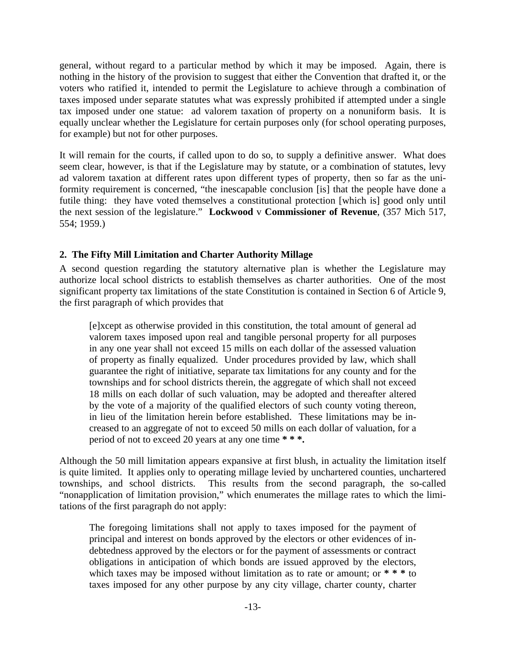general, without regard to a particular method by which it may be imposed. Again, there is nothing in the history of the provision to suggest that either the Convention that drafted it, or the voters who ratified it, intended to permit the Legislature to achieve through a combination of taxes imposed under separate statutes what was expressly prohibited if attempted under a single tax imposed under one statue: ad valorem taxation of property on a nonuniform basis. It is equally unclear whether the Legislature for certain purposes only (for school operating purposes, for example) but not for other purposes.

It will remain for the courts, if called upon to do so, to supply a definitive answer. What does seem clear, however, is that if the Legislature may by statute, or a combination of statutes, levy ad valorem taxation at different rates upon different types of property, then so far as the uniformity requirement is concerned, "the inescapable conclusion [is] that the people have done a futile thing: they have voted themselves a constitutional protection [which is] good only until the next session of the legislature." **Lockwood** v **Commissioner of Revenue**, (357 Mich 517, 554; 1959.)

# **2. The Fifty Mill Limitation and Charter Authority Millage**

A second question regarding the statutory alternative plan is whether the Legislature may authorize local school districts to establish themselves as charter authorities. One of the most significant property tax limitations of the state Constitution is contained in Section 6 of Article 9, the first paragraph of which provides that

[e]xcept as otherwise provided in this constitution, the total amount of general ad valorem taxes imposed upon real and tangible personal property for all purposes in any one year shall not exceed 15 mills on each dollar of the assessed valuation of property as finally equalized. Under procedures provided by law, which shall guarantee the right of initiative, separate tax limitations for any county and for the townships and for school districts therein, the aggregate of which shall not exceed 18 mills on each dollar of such valuation, may be adopted and thereafter altered by the vote of a majority of the qualified electors of such county voting thereon, in lieu of the limitation herein before established. These limitations may be increased to an aggregate of not to exceed 50 mills on each dollar of valuation, for a period of not to exceed 20 years at any one time **\* \* \*.**

Although the 50 mill limitation appears expansive at first blush, in actuality the limitation itself is quite limited. It applies only to operating millage levied by unchartered counties, unchartered townships, and school districts. This results from the second paragraph, the so-called "nonapplication of limitation provision," which enumerates the millage rates to which the limitations of the first paragraph do not apply:

The foregoing limitations shall not apply to taxes imposed for the payment of principal and interest on bonds approved by the electors or other evidences of indebtedness approved by the electors or for the payment of assessments or contract obligations in anticipation of which bonds are issued approved by the electors, which taxes may be imposed without limitation as to rate or amount; or  $* * *$  to taxes imposed for any other purpose by any city village, charter county, charter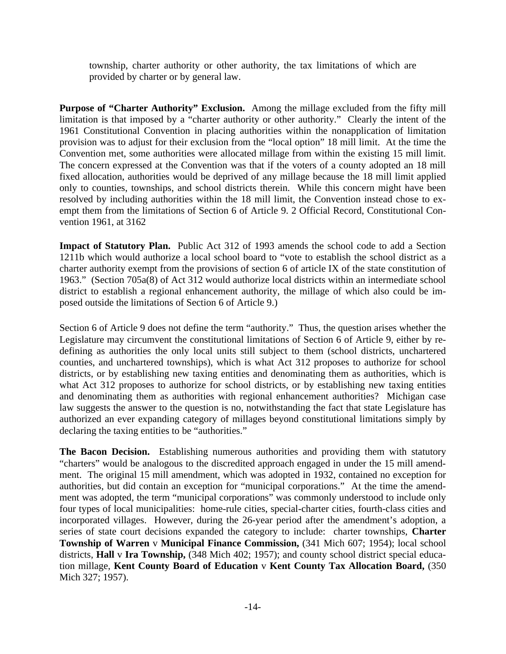township, charter authority or other authority, the tax limitations of which are provided by charter or by general law.

**Purpose of "Charter Authority" Exclusion.** Among the millage excluded from the fifty mill limitation is that imposed by a "charter authority or other authority." Clearly the intent of the 1961 Constitutional Convention in placing authorities within the nonapplication of limitation provision was to adjust for their exclusion from the "local option" 18 mill limit. At the time the Convention met, some authorities were allocated millage from within the existing 15 mill limit. The concern expressed at the Convention was that if the voters of a county adopted an 18 mill fixed allocation, authorities would be deprived of any millage because the 18 mill limit applied only to counties, townships, and school districts therein. While this concern might have been resolved by including authorities within the 18 mill limit, the Convention instead chose to exempt them from the limitations of Section 6 of Article 9. 2 Official Record, Constitutional Convention 1961, at 3162

**Impact of Statutory Plan.** Public Act 312 of 1993 amends the school code to add a Section 1211b which would authorize a local school board to "vote to establish the school district as a charter authority exempt from the provisions of section 6 of article IX of the state constitution of 1963." (Section 705a(8) of Act 312 would authorize local districts within an intermediate school district to establish a regional enhancement authority, the millage of which also could be imposed outside the limitations of Section 6 of Article 9.)

Section 6 of Article 9 does not define the term "authority." Thus, the question arises whether the Legislature may circumvent the constitutional limitations of Section 6 of Article 9, either by redefining as authorities the only local units still subject to them (school districts, unchartered counties, and unchartered townships), which is what Act 312 proposes to authorize for school districts, or by establishing new taxing entities and denominating them as authorities, which is what Act 312 proposes to authorize for school districts, or by establishing new taxing entities and denominating them as authorities with regional enhancement authorities? Michigan case law suggests the answer to the question is no, notwithstanding the fact that state Legislature has authorized an ever expanding category of millages beyond constitutional limitations simply by declaring the taxing entities to be "authorities."

**The Bacon Decision.** Establishing numerous authorities and providing them with statutory "charters" would be analogous to the discredited approach engaged in under the 15 mill amendment. The original 15 mill amendment, which was adopted in 1932, contained no exception for authorities, but did contain an exception for "municipal corporations." At the time the amendment was adopted, the term "municipal corporations" was commonly understood to include only four types of local municipalities: home-rule cities, special-charter cities, fourth-class cities and incorporated villages. However, during the 26-year period after the amendment's adoption, a series of state court decisions expanded the category to include: charter townships, **Charter Township of Warren** v **Municipal Finance Commission,** (341 Mich 607; 1954); local school districts, **Hall** v **Ira Township,** (348 Mich 402; 1957); and county school district special education millage, **Kent County Board of Education** v **Kent County Tax Allocation Board,** (350 Mich 327; 1957).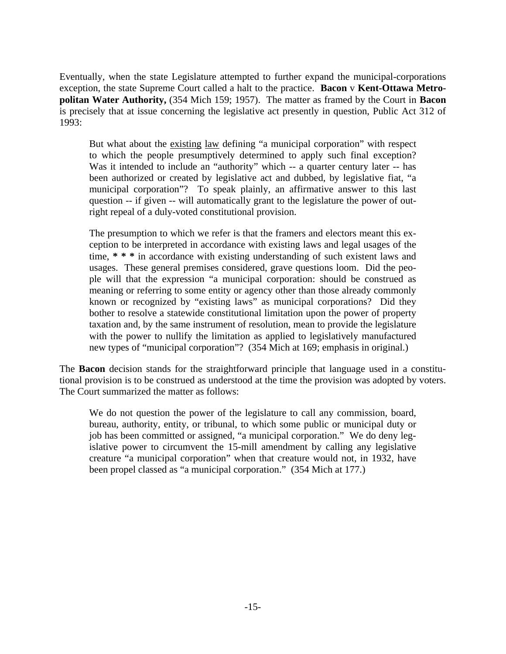Eventually, when the state Legislature attempted to further expand the municipal-corporations exception, the state Supreme Court called a halt to the practice. **Bacon** v **Kent-Ottawa Metropolitan Water Authority,** (354 Mich 159; 1957). The matter as framed by the Court in **Bacon** is precisely that at issue concerning the legislative act presently in question, Public Act 312 of 1993:

But what about the existing law defining "a municipal corporation" with respect to which the people presumptively determined to apply such final exception? Was it intended to include an "authority" which -- a quarter century later -- has been authorized or created by legislative act and dubbed, by legislative fiat, "a municipal corporation"? To speak plainly, an affirmative answer to this last question -- if given -- will automatically grant to the legislature the power of outright repeal of a duly-voted constitutional provision.

The presumption to which we refer is that the framers and electors meant this exception to be interpreted in accordance with existing laws and legal usages of the time, **\* \* \*** in accordance with existing understanding of such existent laws and usages. These general premises considered, grave questions loom. Did the people will that the expression "a municipal corporation: should be construed as meaning or referring to some entity or agency other than those already commonly known or recognized by "existing laws" as municipal corporations? Did they bother to resolve a statewide constitutional limitation upon the power of property taxation and, by the same instrument of resolution, mean to provide the legislature with the power to nullify the limitation as applied to legislatively manufactured new types of "municipal corporation"? (354 Mich at 169; emphasis in original.)

The **Bacon** decision stands for the straightforward principle that language used in a constitutional provision is to be construed as understood at the time the provision was adopted by voters. The Court summarized the matter as follows:

We do not question the power of the legislature to call any commission, board, bureau, authority, entity, or tribunal, to which some public or municipal duty or job has been committed or assigned, "a municipal corporation." We do deny legislative power to circumvent the 15-mill amendment by calling any legislative creature "a municipal corporation" when that creature would not, in 1932, have been propel classed as "a municipal corporation." (354 Mich at 177.)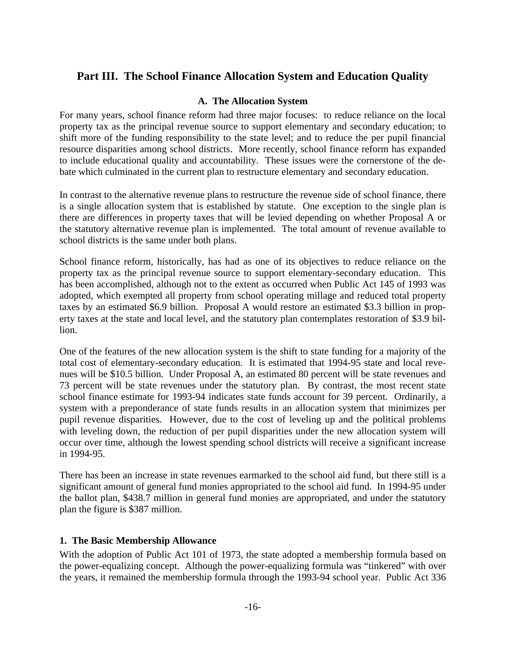# **Part III. The School Finance Allocation System and Education Quality**

# **A. The Allocation System**

For many years, school finance reform had three major focuses: to reduce reliance on the local property tax as the principal revenue source to support elementary and secondary education; to shift more of the funding responsibility to the state level; and to reduce the per pupil financial resource disparities among school districts. More recently, school finance reform has expanded to include educational quality and accountability. These issues were the cornerstone of the debate which culminated in the current plan to restructure elementary and secondary education.

In contrast to the alternative revenue plans to restructure the revenue side of school finance, there is a single allocation system that is established by statute. One exception to the single plan is there are differences in property taxes that will be levied depending on whether Proposal A or the statutory alternative revenue plan is implemented. The total amount of revenue available to school districts is the same under both plans.

School finance reform, historically, has had as one of its objectives to reduce reliance on the property tax as the principal revenue source to support elementary-secondary education. This has been accomplished, although not to the extent as occurred when Public Act 145 of 1993 was adopted, which exempted all property from school operating millage and reduced total property taxes by an estimated \$6.9 billion. Proposal A would restore an estimated \$3.3 billion in property taxes at the state and local level, and the statutory plan contemplates restoration of \$3.9 billion.

One of the features of the new allocation system is the shift to state funding for a majority of the total cost of elementary-secondary education. It is estimated that 1994-95 state and local revenues will be \$10.5 billion. Under Proposal A, an estimated 80 percent will be state revenues and 73 percent will be state revenues under the statutory plan. By contrast, the most recent state school finance estimate for 1993-94 indicates state funds account for 39 percent. Ordinarily, a system with a preponderance of state funds results in an allocation system that minimizes per pupil revenue disparities. However, due to the cost of leveling up and the political problems with leveling down, the reduction of per pupil disparities under the new allocation system will occur over time, although the lowest spending school districts will receive a significant increase in 1994-95.

There has been an increase in state revenues earmarked to the school aid fund, but there still is a significant amount of general fund monies appropriated to the school aid fund. In 1994-95 under the ballot plan, \$438.7 million in general fund monies are appropriated, and under the statutory plan the figure is \$387 million.

### **1. The Basic Membership Allowance**

With the adoption of Public Act 101 of 1973, the state adopted a membership formula based on the power-equalizing concept. Although the power-equalizing formula was "tinkered" with over the years, it remained the membership formula through the 1993-94 school year. Public Act 336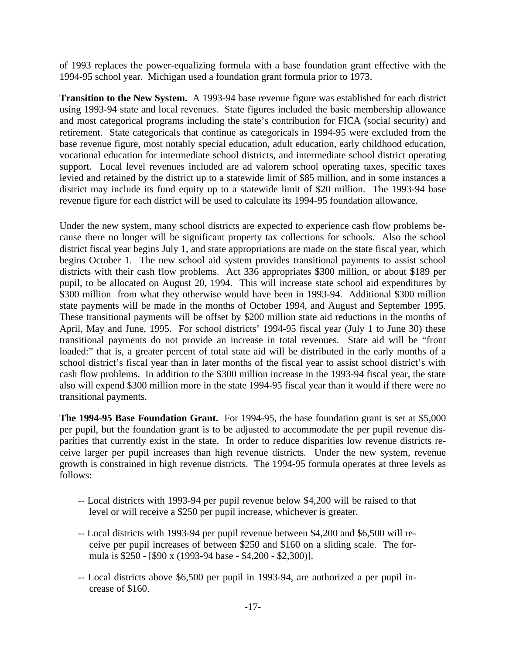of 1993 replaces the power-equalizing formula with a base foundation grant effective with the 1994-95 school year. Michigan used a foundation grant formula prior to 1973.

**Transition to the New System.** A 1993-94 base revenue figure was established for each district using 1993-94 state and local revenues. State figures included the basic membership allowance and most categorical programs including the state's contribution for FICA (social security) and retirement. State categoricals that continue as categoricals in 1994-95 were excluded from the base revenue figure, most notably special education, adult education, early childhood education, vocational education for intermediate school districts, and intermediate school district operating support. Local level revenues included are ad valorem school operating taxes, specific taxes levied and retained by the district up to a statewide limit of \$85 million, and in some instances a district may include its fund equity up to a statewide limit of \$20 million. The 1993-94 base revenue figure for each district will be used to calculate its 1994-95 foundation allowance.

Under the new system, many school districts are expected to experience cash flow problems because there no longer will be significant property tax collections for schools. Also the school district fiscal year begins July 1, and state appropriations are made on the state fiscal year, which begins October 1. The new school aid system provides transitional payments to assist school districts with their cash flow problems. Act 336 appropriates \$300 million, or about \$189 per pupil, to be allocated on August 20, 1994. This will increase state school aid expenditures by \$300 million from what they otherwise would have been in 1993-94. Additional \$300 million state payments will be made in the months of October 1994, and August and September 1995. These transitional payments will be offset by \$200 million state aid reductions in the months of April, May and June, 1995. For school districts' 1994-95 fiscal year (July 1 to June 30) these transitional payments do not provide an increase in total revenues. State aid will be "front loaded:" that is, a greater percent of total state aid will be distributed in the early months of a school district's fiscal year than in later months of the fiscal year to assist school district's with cash flow problems. In addition to the \$300 million increase in the 1993-94 fiscal year, the state also will expend \$300 million more in the state 1994-95 fiscal year than it would if there were no transitional payments.

**The 1994-95 Base Foundation Grant.** For 1994-95, the base foundation grant is set at \$5,000 per pupil, but the foundation grant is to be adjusted to accommodate the per pupil revenue disparities that currently exist in the state. In order to reduce disparities low revenue districts receive larger per pupil increases than high revenue districts. Under the new system, revenue growth is constrained in high revenue districts. The 1994-95 formula operates at three levels as follows:

- -- Local districts with 1993-94 per pupil revenue below \$4,200 will be raised to that level or will receive a \$250 per pupil increase, whichever is greater.
- -- Local districts with 1993-94 per pupil revenue between \$4,200 and \$6,500 will receive per pupil increases of between \$250 and \$160 on a sliding scale. The formula is \$250 - [\$90 x (1993-94 base - \$4,200 - \$2,300)].
- -- Local districts above \$6,500 per pupil in 1993-94, are authorized a per pupil increase of \$160.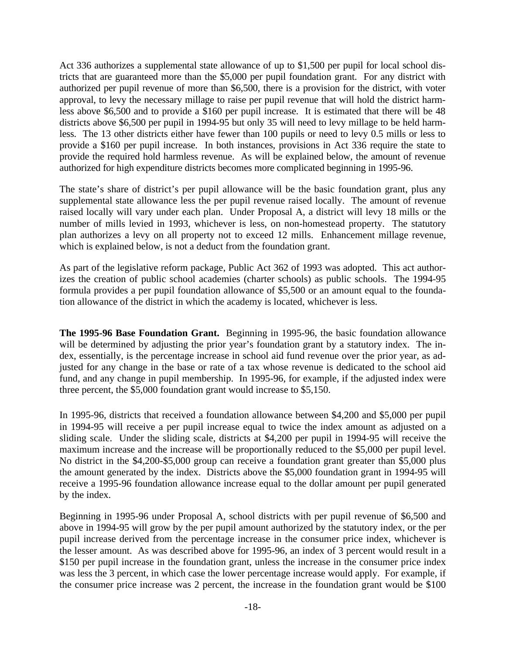Act 336 authorizes a supplemental state allowance of up to \$1,500 per pupil for local school districts that are guaranteed more than the \$5,000 per pupil foundation grant. For any district with authorized per pupil revenue of more than \$6,500, there is a provision for the district, with voter approval, to levy the necessary millage to raise per pupil revenue that will hold the district harmless above \$6,500 and to provide a \$160 per pupil increase. It is estimated that there will be 48 districts above \$6,500 per pupil in 1994-95 but only 35 will need to levy millage to be held harmless. The 13 other districts either have fewer than 100 pupils or need to levy 0.5 mills or less to provide a \$160 per pupil increase. In both instances, provisions in Act 336 require the state to provide the required hold harmless revenue. As will be explained below, the amount of revenue authorized for high expenditure districts becomes more complicated beginning in 1995-96.

The state's share of district's per pupil allowance will be the basic foundation grant, plus any supplemental state allowance less the per pupil revenue raised locally. The amount of revenue raised locally will vary under each plan. Under Proposal A, a district will levy 18 mills or the number of mills levied in 1993, whichever is less, on non-homestead property. The statutory plan authorizes a levy on all property not to exceed 12 mills. Enhancement millage revenue, which is explained below, is not a deduct from the foundation grant.

As part of the legislative reform package, Public Act 362 of 1993 was adopted. This act authorizes the creation of public school academies (charter schools) as public schools. The 1994-95 formula provides a per pupil foundation allowance of \$5,500 or an amount equal to the foundation allowance of the district in which the academy is located, whichever is less.

**The 1995-96 Base Foundation Grant.** Beginning in 1995-96, the basic foundation allowance will be determined by adjusting the prior year's foundation grant by a statutory index. The index, essentially, is the percentage increase in school aid fund revenue over the prior year, as adjusted for any change in the base or rate of a tax whose revenue is dedicated to the school aid fund, and any change in pupil membership. In 1995-96, for example, if the adjusted index were three percent, the \$5,000 foundation grant would increase to \$5,150.

In 1995-96, districts that received a foundation allowance between \$4,200 and \$5,000 per pupil in 1994-95 will receive a per pupil increase equal to twice the index amount as adjusted on a sliding scale. Under the sliding scale, districts at \$4,200 per pupil in 1994-95 will receive the maximum increase and the increase will be proportionally reduced to the \$5,000 per pupil level. No district in the \$4,200-\$5,000 group can receive a foundation grant greater than \$5,000 plus the amount generated by the index. Districts above the \$5,000 foundation grant in 1994-95 will receive a 1995-96 foundation allowance increase equal to the dollar amount per pupil generated by the index.

Beginning in 1995-96 under Proposal A, school districts with per pupil revenue of \$6,500 and above in 1994-95 will grow by the per pupil amount authorized by the statutory index, or the per pupil increase derived from the percentage increase in the consumer price index, whichever is the lesser amount. As was described above for 1995-96, an index of 3 percent would result in a \$150 per pupil increase in the foundation grant, unless the increase in the consumer price index was less the 3 percent, in which case the lower percentage increase would apply. For example, if the consumer price increase was 2 percent, the increase in the foundation grant would be \$100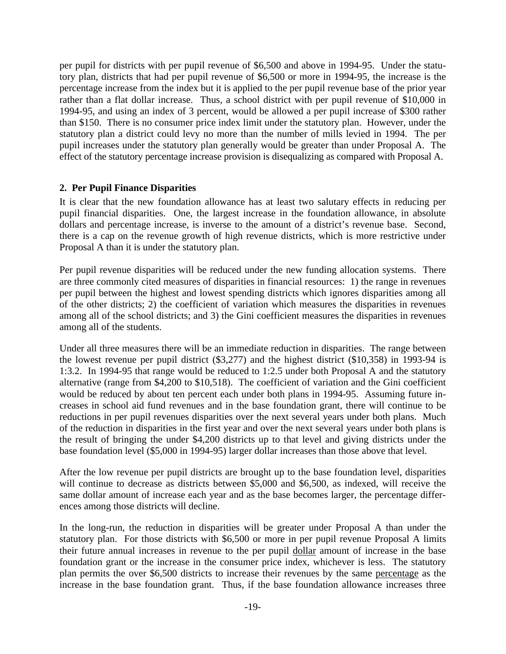per pupil for districts with per pupil revenue of \$6,500 and above in 1994-95. Under the statutory plan, districts that had per pupil revenue of \$6,500 or more in 1994-95, the increase is the percentage increase from the index but it is applied to the per pupil revenue base of the prior year rather than a flat dollar increase. Thus, a school district with per pupil revenue of \$10,000 in 1994-95, and using an index of 3 percent, would be allowed a per pupil increase of \$300 rather than \$150. There is no consumer price index limit under the statutory plan. However, under the statutory plan a district could levy no more than the number of mills levied in 1994. The per pupil increases under the statutory plan generally would be greater than under Proposal A. The effect of the statutory percentage increase provision is disequalizing as compared with Proposal A.

# **2. Per Pupil Finance Disparities**

It is clear that the new foundation allowance has at least two salutary effects in reducing per pupil financial disparities. One, the largest increase in the foundation allowance, in absolute dollars and percentage increase, is inverse to the amount of a district's revenue base. Second, there is a cap on the revenue growth of high revenue districts, which is more restrictive under Proposal A than it is under the statutory plan.

Per pupil revenue disparities will be reduced under the new funding allocation systems. There are three commonly cited measures of disparities in financial resources: 1) the range in revenues per pupil between the highest and lowest spending districts which ignores disparities among all of the other districts; 2) the coefficient of variation which measures the disparities in revenues among all of the school districts; and 3) the Gini coefficient measures the disparities in revenues among all of the students.

Under all three measures there will be an immediate reduction in disparities. The range between the lowest revenue per pupil district (\$3,277) and the highest district (\$10,358) in 1993-94 is 1:3.2. In 1994-95 that range would be reduced to 1:2.5 under both Proposal A and the statutory alternative (range from \$4,200 to \$10,518). The coefficient of variation and the Gini coefficient would be reduced by about ten percent each under both plans in 1994-95. Assuming future increases in school aid fund revenues and in the base foundation grant, there will continue to be reductions in per pupil revenues disparities over the next several years under both plans. Much of the reduction in disparities in the first year and over the next several years under both plans is the result of bringing the under \$4,200 districts up to that level and giving districts under the base foundation level (\$5,000 in 1994-95) larger dollar increases than those above that level.

After the low revenue per pupil districts are brought up to the base foundation level, disparities will continue to decrease as districts between \$5,000 and \$6,500, as indexed, will receive the same dollar amount of increase each year and as the base becomes larger, the percentage differences among those districts will decline.

In the long-run, the reduction in disparities will be greater under Proposal A than under the statutory plan. For those districts with \$6,500 or more in per pupil revenue Proposal A limits their future annual increases in revenue to the per pupil dollar amount of increase in the base foundation grant or the increase in the consumer price index, whichever is less. The statutory plan permits the over \$6,500 districts to increase their revenues by the same percentage as the increase in the base foundation grant. Thus, if the base foundation allowance increases three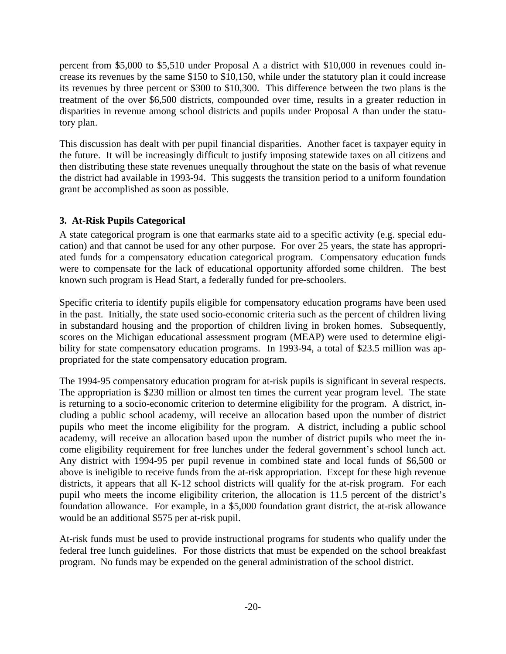percent from \$5,000 to \$5,510 under Proposal A a district with \$10,000 in revenues could increase its revenues by the same \$150 to \$10,150, while under the statutory plan it could increase its revenues by three percent or \$300 to \$10,300. This difference between the two plans is the treatment of the over \$6,500 districts, compounded over time, results in a greater reduction in disparities in revenue among school districts and pupils under Proposal A than under the statutory plan.

This discussion has dealt with per pupil financial disparities. Another facet is taxpayer equity in the future. It will be increasingly difficult to justify imposing statewide taxes on all citizens and then distributing these state revenues unequally throughout the state on the basis of what revenue the district had available in 1993-94. This suggests the transition period to a uniform foundation grant be accomplished as soon as possible.

# **3. At-Risk Pupils Categorical**

A state categorical program is one that earmarks state aid to a specific activity (e.g. special education) and that cannot be used for any other purpose. For over 25 years, the state has appropriated funds for a compensatory education categorical program. Compensatory education funds were to compensate for the lack of educational opportunity afforded some children. The best known such program is Head Start, a federally funded for pre-schoolers.

Specific criteria to identify pupils eligible for compensatory education programs have been used in the past. Initially, the state used socio-economic criteria such as the percent of children living in substandard housing and the proportion of children living in broken homes. Subsequently, scores on the Michigan educational assessment program (MEAP) were used to determine eligibility for state compensatory education programs. In 1993-94, a total of \$23.5 million was appropriated for the state compensatory education program.

The 1994-95 compensatory education program for at-risk pupils is significant in several respects. The appropriation is \$230 million or almost ten times the current year program level. The state is returning to a socio-economic criterion to determine eligibility for the program. A district, including a public school academy, will receive an allocation based upon the number of district pupils who meet the income eligibility for the program. A district, including a public school academy, will receive an allocation based upon the number of district pupils who meet the income eligibility requirement for free lunches under the federal government's school lunch act. Any district with 1994-95 per pupil revenue in combined state and local funds of \$6,500 or above is ineligible to receive funds from the at-risk appropriation. Except for these high revenue districts, it appears that all K-12 school districts will qualify for the at-risk program. For each pupil who meets the income eligibility criterion, the allocation is 11.5 percent of the district's foundation allowance. For example, in a \$5,000 foundation grant district, the at-risk allowance would be an additional \$575 per at-risk pupil.

At-risk funds must be used to provide instructional programs for students who qualify under the federal free lunch guidelines. For those districts that must be expended on the school breakfast program. No funds may be expended on the general administration of the school district.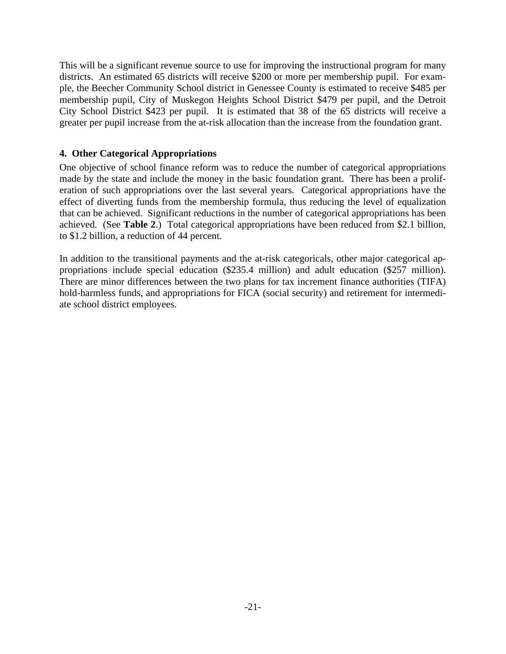This will be a significant revenue source to use for improving the instructional program for many districts. An estimated 65 districts will receive \$200 or more per membership pupil. For example, the Beecher Community School district in Genessee County is estimated to receive \$485 per membership pupil, City of Muskegon Heights School District \$479 per pupil, and the Detroit City School District \$423 per pupil. It is estimated that 38 of the 65 districts will receive a greater per pupil increase from the at-risk allocation than the increase from the foundation grant.

# **4. Other Categorical Appropriations**

One objective of school finance reform was to reduce the number of categorical appropriations made by the state and include the money in the basic foundation grant. There has been a proliferation of such appropriations over the last several years. Categorical appropriations have the effect of diverting funds from the membership formula, thus reducing the level of equalization that can be achieved. Significant reductions in the number of categorical appropriations has been achieved. (See **Table 2**.) Total categorical appropriations have been reduced from \$2.1 billion, to \$1.2 billion, a reduction of 44 percent.

In addition to the transitional payments and the at-risk categoricals, other major categorical appropriations include special education (\$235.4 million) and adult education (\$257 million). There are minor differences between the two plans for tax increment finance authorities (TIFA) hold-harmless funds, and appropriations for FICA (social security) and retirement for intermediate school district employees.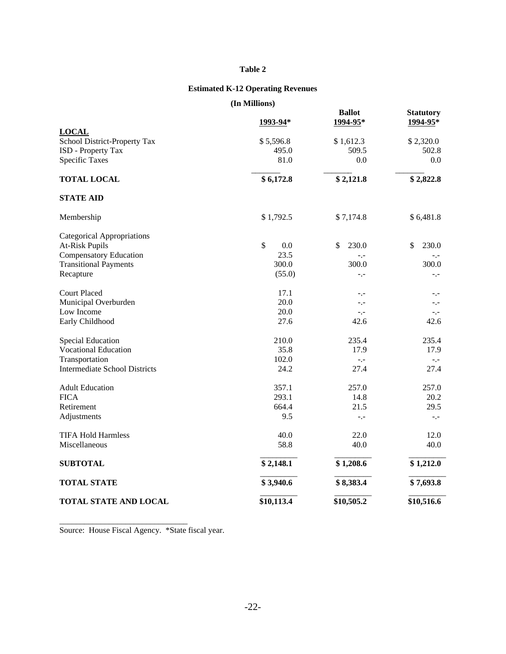#### **Table 2**

# **Estimated K-12 Operating Revenues**

**(In Millions)**

|                                              | (111 глинцоп. <del>э</del> ) |                           |                              |
|----------------------------------------------|------------------------------|---------------------------|------------------------------|
|                                              | 1993-94*                     | <b>Ballot</b><br>1994-95* | <b>Statutory</b><br>1994-95* |
| <b>LOCAL</b><br>School District-Property Tax | \$5,596.8                    | \$1,612.3                 | \$2,320.0                    |
| ISD - Property Tax                           | 495.0                        | 509.5                     | 502.8                        |
| <b>Specific Taxes</b>                        | 81.0                         | 0.0                       | $0.0\,$                      |
| <b>TOTAL LOCAL</b>                           | \$6,172.8                    | \$2,121.8                 | \$2,822.8                    |
| <b>STATE AID</b>                             |                              |                           |                              |
| Membership                                   | \$1,792.5                    | \$7,174.8                 | \$6,481.8                    |
| <b>Categorical Appropriations</b>            |                              |                           |                              |
| <b>At-Risk Pupils</b>                        | \$<br>0.0                    | \$<br>230.0               | \$<br>230.0                  |
| <b>Compensatory Education</b>                | 23.5                         | $-1$                      | $-1 -$                       |
| <b>Transitional Payments</b>                 | 300.0                        | 300.0                     | 300.0                        |
| Recapture                                    | (55.0)                       | $-1$                      | $-,-$                        |
| <b>Court Placed</b>                          | 17.1                         | $-1$                      | $-1$                         |
| Municipal Overburden                         | 20.0                         | $-1$                      | $-1$                         |
| Low Income                                   | 20.0                         | $-1$                      | $-1$                         |
| Early Childhood                              | 27.6                         | 42.6                      | 42.6                         |
| <b>Special Education</b>                     | 210.0                        | 235.4                     | 235.4                        |
| <b>Vocational Education</b>                  | 35.8                         | 17.9                      | 17.9                         |
| Transportation                               | 102.0                        | $-1$                      | $-1$                         |
| <b>Intermediate School Districts</b>         | 24.2                         | 27.4                      | 27.4                         |
| <b>Adult Education</b>                       | 357.1                        | 257.0                     | 257.0                        |
| <b>FICA</b>                                  | 293.1                        | 14.8                      | 20.2                         |
| Retirement                                   | 664.4                        | 21.5                      | 29.5                         |
| Adjustments                                  | 9.5                          | $-1$                      | $-1$                         |
| <b>TIFA Hold Harmless</b>                    | 40.0                         | 22.0                      | 12.0                         |
| Miscellaneous                                | 58.8                         | 40.0                      | 40.0                         |
| <b>SUBTOTAL</b>                              | \$2,148.1                    | \$1,208.6                 | \$1,212.0                    |
| <b>TOTAL STATE</b>                           | \$3,940.6                    | \$8,383.4                 | \$7,693.8                    |
| <b>TOTAL STATE AND LOCAL</b>                 | \$10,113.4                   | \$10,505.2                | \$10,516.6                   |

Source: House Fiscal Agency. \*State fiscal year.

\_\_\_\_\_\_\_\_\_\_\_\_\_\_\_\_\_\_\_\_\_\_\_\_\_\_\_\_\_\_\_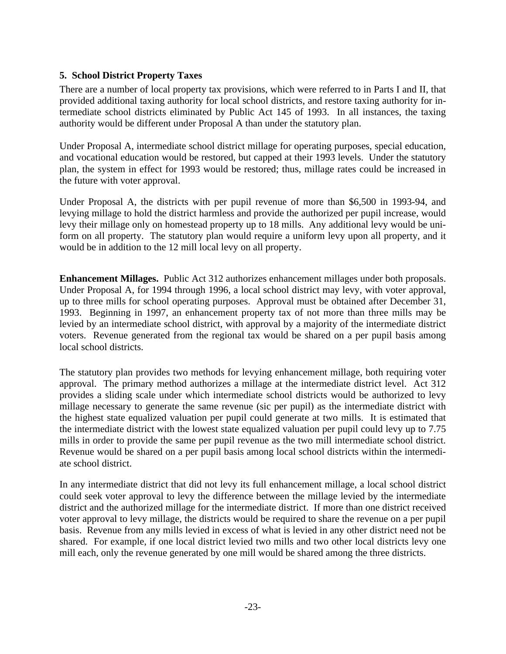# **5. School District Property Taxes**

There are a number of local property tax provisions, which were referred to in Parts I and II, that provided additional taxing authority for local school districts, and restore taxing authority for intermediate school districts eliminated by Public Act 145 of 1993. In all instances, the taxing authority would be different under Proposal A than under the statutory plan.

Under Proposal A, intermediate school district millage for operating purposes, special education, and vocational education would be restored, but capped at their 1993 levels. Under the statutory plan, the system in effect for 1993 would be restored; thus, millage rates could be increased in the future with voter approval.

Under Proposal A, the districts with per pupil revenue of more than \$6,500 in 1993-94, and levying millage to hold the district harmless and provide the authorized per pupil increase, would levy their millage only on homestead property up to 18 mills. Any additional levy would be uniform on all property. The statutory plan would require a uniform levy upon all property, and it would be in addition to the 12 mill local levy on all property.

**Enhancement Millages.** Public Act 312 authorizes enhancement millages under both proposals. Under Proposal A, for 1994 through 1996, a local school district may levy, with voter approval, up to three mills for school operating purposes. Approval must be obtained after December 31, 1993. Beginning in 1997, an enhancement property tax of not more than three mills may be levied by an intermediate school district, with approval by a majority of the intermediate district voters. Revenue generated from the regional tax would be shared on a per pupil basis among local school districts.

The statutory plan provides two methods for levying enhancement millage, both requiring voter approval. The primary method authorizes a millage at the intermediate district level. Act 312 provides a sliding scale under which intermediate school districts would be authorized to levy millage necessary to generate the same revenue (sic per pupil) as the intermediate district with the highest state equalized valuation per pupil could generate at two mills. It is estimated that the intermediate district with the lowest state equalized valuation per pupil could levy up to 7.75 mills in order to provide the same per pupil revenue as the two mill intermediate school district. Revenue would be shared on a per pupil basis among local school districts within the intermediate school district.

In any intermediate district that did not levy its full enhancement millage, a local school district could seek voter approval to levy the difference between the millage levied by the intermediate district and the authorized millage for the intermediate district. If more than one district received voter approval to levy millage, the districts would be required to share the revenue on a per pupil basis. Revenue from any mills levied in excess of what is levied in any other district need not be shared. For example, if one local district levied two mills and two other local districts levy one mill each, only the revenue generated by one mill would be shared among the three districts.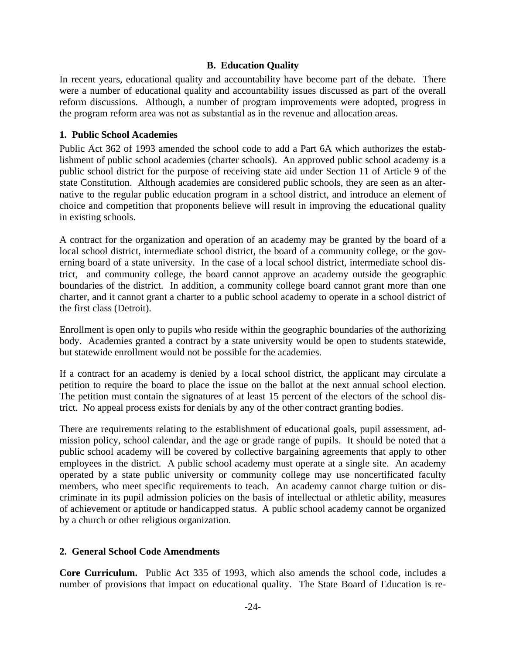# **B. Education Quality**

In recent years, educational quality and accountability have become part of the debate. There were a number of educational quality and accountability issues discussed as part of the overall reform discussions. Although, a number of program improvements were adopted, progress in the program reform area was not as substantial as in the revenue and allocation areas.

### **1. Public School Academies**

Public Act 362 of 1993 amended the school code to add a Part 6A which authorizes the establishment of public school academies (charter schools). An approved public school academy is a public school district for the purpose of receiving state aid under Section 11 of Article 9 of the state Constitution. Although academies are considered public schools, they are seen as an alternative to the regular public education program in a school district, and introduce an element of choice and competition that proponents believe will result in improving the educational quality in existing schools.

A contract for the organization and operation of an academy may be granted by the board of a local school district, intermediate school district, the board of a community college, or the governing board of a state university. In the case of a local school district, intermediate school district, and community college, the board cannot approve an academy outside the geographic boundaries of the district. In addition, a community college board cannot grant more than one charter, and it cannot grant a charter to a public school academy to operate in a school district of the first class (Detroit).

Enrollment is open only to pupils who reside within the geographic boundaries of the authorizing body. Academies granted a contract by a state university would be open to students statewide, but statewide enrollment would not be possible for the academies.

If a contract for an academy is denied by a local school district, the applicant may circulate a petition to require the board to place the issue on the ballot at the next annual school election. The petition must contain the signatures of at least 15 percent of the electors of the school district. No appeal process exists for denials by any of the other contract granting bodies.

There are requirements relating to the establishment of educational goals, pupil assessment, admission policy, school calendar, and the age or grade range of pupils. It should be noted that a public school academy will be covered by collective bargaining agreements that apply to other employees in the district. A public school academy must operate at a single site. An academy operated by a state public university or community college may use noncertificated faculty members, who meet specific requirements to teach. An academy cannot charge tuition or discriminate in its pupil admission policies on the basis of intellectual or athletic ability, measures of achievement or aptitude or handicapped status. A public school academy cannot be organized by a church or other religious organization.

### **2. General School Code Amendments**

**Core Curriculum.** Public Act 335 of 1993, which also amends the school code, includes a number of provisions that impact on educational quality. The State Board of Education is re